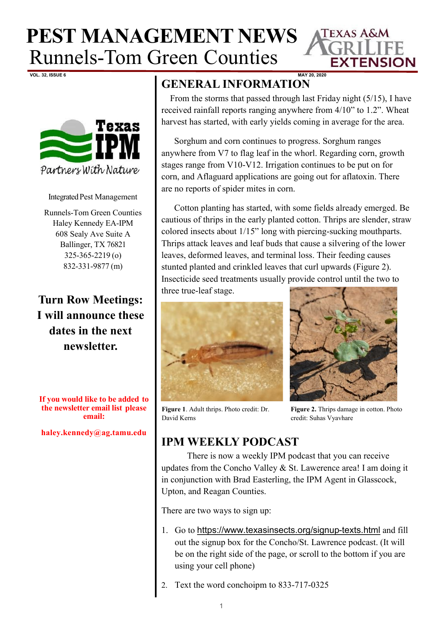

**VOL. 32, ISSUE 6 MAY 20, 2020**



Integrated Pest Management

Runnels-Tom Green Counties Haley Kennedy EA-IPM 608 Sealy Ave Suite A Ballinger, TX 76821 325-365-2219 (o) 832-331-9877 (m)

**Turn Row Meetings: I will announce these dates in the next newsletter.** 

**If you would like to be added to the newsletter email list please email:**

**haley.kennedy@ag.tamu.edu**

## **GENERAL INFORMATION**

From the storms that passed through last Friday night (5/15), I have received rainfall reports ranging anywhere from 4/10" to 1.2". Wheat harvest has started, with early yields coming in average for the area.

Sorghum and corn continues to progress. Sorghum ranges anywhere from V7 to flag leaf in the whorl. Regarding corn, growth stages range from V10-V12. Irrigation continues to be put on for corn, and Aflaguard applications are going out for aflatoxin. There are no reports of spider mites in corn.

Cotton planting has started, with some fields already emerged. Be cautious of thrips in the early planted cotton. Thrips are slender, straw colored insects about 1/15" long with piercing-sucking mouthparts. Thrips attack leaves and leaf buds that cause a silvering of the lower leaves, deformed leaves, and terminal loss. Their feeding causes stunted planted and crinkled leaves that curl upwards (Figure 2). Insecticide seed treatments usually provide control until the two to three true-leaf stage.





**Figure 1**. Adult thrips. Photo credit: Dr. David Kerns

**Figure 2.** Thrips damage in cotton. Photo credit: Suhas Vyavhare

## **IPM WEEKLY PODCAST**

There is now a weekly IPM podcast that you can receive updates from the Concho Valley & St. Lawerence area! I am doing it in conjunction with Brad Easterling, the IPM Agent in Glasscock, Upton, and Reagan Counties.

There are two ways to sign up:

- 1. Go to [https://www.texasinsects.org/signup](https://www.texasinsects.org/signup-texts.html)-texts.html and fill out the signup box for the Concho/St. Lawrence podcast. (It will be on the right side of the page, or scroll to the bottom if you are using your cell phone)
- Text the word conchoipm to 833-717-0325